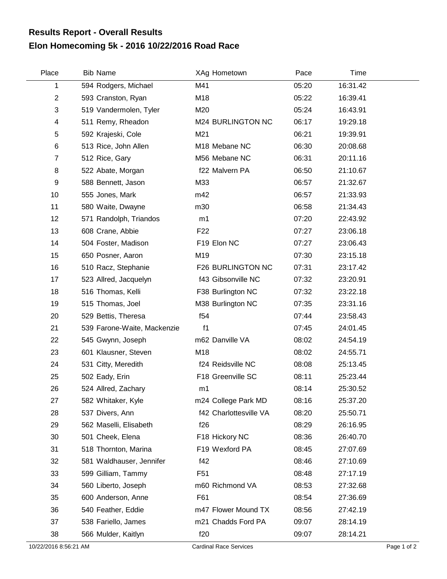## **Elon Homecoming 5k - 2016 10/22/2016 Road Race Results Report - Overall Results**

| Place                     | <b>Bib Name</b>             | XAg Hometown           | Pace  | Time     |
|---------------------------|-----------------------------|------------------------|-------|----------|
| 1                         | 594 Rodgers, Michael        | M41                    | 05:20 | 16:31.42 |
| $\overline{2}$            | 593 Cranston, Ryan          | M18                    | 05:22 | 16:39.41 |
| $\ensuremath{\mathsf{3}}$ | 519 Vandermolen, Tyler      | M20                    | 05:24 | 16:43.91 |
| 4                         | 511 Remy, Rheadon           | M24 BURLINGTON NC      | 06:17 | 19:29.18 |
| 5                         | 592 Krajeski, Cole          | M21                    | 06:21 | 19:39.91 |
| $\,6$                     | 513 Rice, John Allen        | M18 Mebane NC          | 06:30 | 20:08.68 |
| $\overline{7}$            | 512 Rice, Gary              | M56 Mebane NC          | 06:31 | 20:11.16 |
| 8                         | 522 Abate, Morgan           | f22 Malvern PA         | 06:50 | 21:10.67 |
| 9                         | 588 Bennett, Jason          | M33                    | 06:57 | 21:32.67 |
| 10                        | 555 Jones, Mark             | m42                    | 06:57 | 21:33.93 |
| 11                        | 580 Waite, Dwayne           | m30                    | 06:58 | 21:34.43 |
| 12                        | 571 Randolph, Triandos      | m1                     | 07:20 | 22:43.92 |
| 13                        | 608 Crane, Abbie            | F <sub>22</sub>        | 07:27 | 23:06.18 |
| 14                        | 504 Foster, Madison         | F19 Elon NC            | 07:27 | 23:06.43 |
| 15                        | 650 Posner, Aaron           | M19                    | 07:30 | 23:15.18 |
| 16                        | 510 Racz, Stephanie         | F26 BURLINGTON NC      | 07:31 | 23:17.42 |
| 17                        | 523 Allred, Jacquelyn       | f43 Gibsonville NC     | 07:32 | 23:20.91 |
| 18                        | 516 Thomas, Kelli           | F38 Burlington NC      | 07:32 | 23:22.18 |
| 19                        | 515 Thomas, Joel            | M38 Burlington NC      | 07:35 | 23:31.16 |
| 20                        | 529 Bettis, Theresa         | f54                    | 07:44 | 23:58.43 |
| 21                        | 539 Farone-Waite, Mackenzie | f <sub>1</sub>         | 07:45 | 24:01.45 |
| 22                        | 545 Gwynn, Joseph           | m62 Danville VA        | 08:02 | 24:54.19 |
| 23                        | 601 Klausner, Steven        | M18                    | 08:02 | 24:55.71 |
| 24                        | 531 Citty, Meredith         | f24 Reidsville NC      | 08:08 | 25:13.45 |
| 25                        | 502 Eady, Erin              | F18 Greenville SC      | 08:11 | 25:23.44 |
| 26                        | 524 Allred, Zachary         | m1                     | 08:14 | 25:30.52 |
| 27                        | 582 Whitaker, Kyle          | m24 College Park MD    | 08:16 | 25:37.20 |
| 28                        | 537 Divers, Ann             | f42 Charlottesville VA | 08:20 | 25:50.71 |
| 29                        | 562 Maselli, Elisabeth      | f26                    | 08:29 | 26:16.95 |
| 30                        | 501 Cheek, Elena            | F18 Hickory NC         | 08:36 | 26:40.70 |
| 31                        | 518 Thornton, Marina        | F19 Wexford PA         | 08:45 | 27:07.69 |
| 32                        | 581 Waldhauser, Jennifer    | f42                    | 08:46 | 27:10.69 |
| 33                        | 599 Gilliam, Tammy          | F <sub>51</sub>        | 08:48 | 27:17.19 |
| 34                        | 560 Liberto, Joseph         | m60 Richmond VA        | 08:53 | 27:32.68 |
| 35                        | 600 Anderson, Anne          | F61                    | 08:54 | 27:36.69 |
| 36                        | 540 Feather, Eddie          | m47 Flower Mound TX    | 08:56 | 27:42.19 |
| 37                        | 538 Fariello, James         | m21 Chadds Ford PA     | 09:07 | 28:14.19 |
| 38                        | 566 Mulder, Kaitlyn         | f20                    | 09:07 | 28:14.21 |